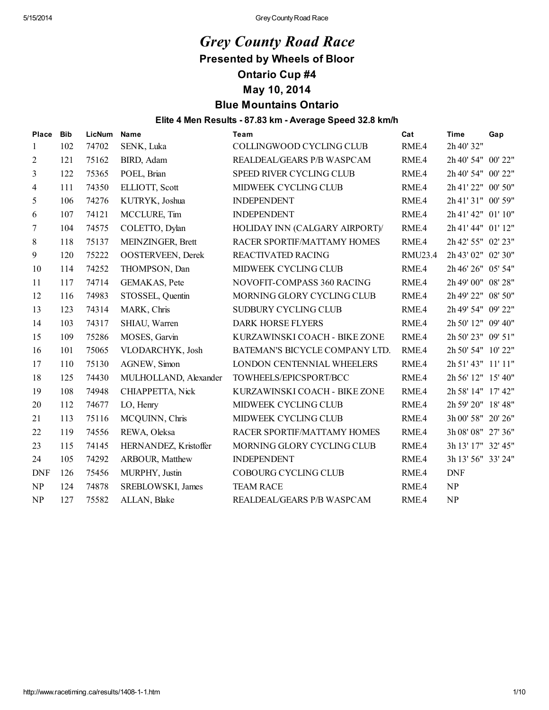# *Grey County Road Race* Presented by Wheels of Bloor

# Ontario Cup #4

## May 10, 2014

# Blue Mountains Ontario

#### Elite 4 Men Results - 87.83 km - Average Speed 32.8 km/h

| Place      | <b>Bib</b> | LicNum | <b>Name</b>              | Team                           | Cat     | <b>Time</b>        | Gap |
|------------|------------|--------|--------------------------|--------------------------------|---------|--------------------|-----|
| 1          | 102        | 74702  | SENK, Luka               | COLLINGWOOD CYCLING CLUB       | RME.4   | 2h 40' 32"         |     |
| 2          | 121        | 75162  | BIRD, Adam               | REALDEAL/GEARS P/B WASPCAM     | RME.4   | 2h 40' 54" 00' 22" |     |
| 3          | 122        | 75365  | POEL, Brian              | SPEED RIVER CYCLING CLUB       | RME.4   | 2h 40' 54" 00' 22" |     |
| 4          | 111        | 74350  | ELLIOTT, Scott           | MIDWEEK CYCLING CLUB           | RME.4   | 2h 41' 22" 00' 50" |     |
| 5          | 106        | 74276  | KUTRYK, Joshua           | <b>INDEPENDENT</b>             | RME.4   | 2h 41' 31" 00' 59" |     |
| 6          | 107        | 74121  | MCCLURE, Tim             | <b>INDEPENDENT</b>             | RME.4   | 2h 41' 42" 01' 10" |     |
| 7          | 104        | 74575  | COLETTO, Dylan           | HOLIDAY INN (CALGARY AIRPORT)/ | RME.4   | 2h 41' 44" 01' 12" |     |
| $\,8\,$    | 118        | 75137  | MEINZINGER, Brett        | RACER SPORTIF/MATTAMY HOMES    | RME.4   | 2h 42' 55" 02' 23" |     |
| 9          | 120        | 75222  | <b>OOSTERVEEN, Derek</b> | REACTIVATED RACING             | RMU23.4 | 2h 43' 02" 02' 30" |     |
| 10         | 114        | 74252  | THOMPSON, Dan            | MIDWEEK CYCLING CLUB           | RME.4   | 2h 46' 26" 05' 54" |     |
| 11         | 117        | 74714  | GEMAKAS, Pete            | NOVOFIT-COMPASS 360 RACING     | RME.4   | 2h 49' 00" 08' 28" |     |
| 12         | 116        | 74983  | STOSSEL, Quentin         | MORNING GLORY CYCLING CLUB     | RME.4   | 2h 49' 22" 08' 50" |     |
| 13         | 123        | 74314  | MARK, Chris              | SUDBURY CYCLING CLUB           | RME.4   | 2h 49' 54" 09' 22" |     |
| 14         | 103        | 74317  | SHIAU, Warren            | <b>DARK HORSE FLYERS</b>       | RME.4   | 2h 50' 12" 09' 40" |     |
| 15         | 109        | 75286  | MOSES, Garvin            | KURZAWINSKI COACH - BIKE ZONE  | RME.4   | 2h 50' 23" 09' 51" |     |
| 16         | 101        | 75065  | VLODARCHYK, Josh         | BATEMAN'S BICYCLE COMPANY LTD. | RME.4   | 2h 50' 54" 10' 22" |     |
| 17         | 110        | 75130  | AGNEW, Simon             | LONDON CENTENNIAL WHEELERS     | RME.4   | 2h 51' 43" 11' 11" |     |
| 18         | 125        | 74430  | MULHOLLAND, Alexander    | TOWHEELS/EPICSPORT/BCC         | RME.4   | 2h 56' 12" 15' 40" |     |
| 19         | 108        | 74948  | CHIAPPETTA, Nick         | KURZAWINSKI COACH - BIKE ZONE  | RME.4   | 2h 58' 14" 17' 42" |     |
| 20         | 112        | 74677  | LO, Henry                | MIDWEEK CYCLING CLUB           | RME.4   | 2h 59' 20" 18' 48" |     |
| 21         | 113        | 75116  | MCQUINN, Chris           | MIDWEEK CYCLING CLUB           | RME.4   | 3h 00' 58" 20' 26" |     |
| 22         | 119        | 74556  | REWA, Oleksa             | RACER SPORTIF/MATTAMY HOMES    | RME.4   | 3h 08' 08" 27' 36" |     |
| 23         | 115        | 74145  | HERNANDEZ, Kristoffer    | MORNING GLORY CYCLING CLUB     | RME.4   | 3h 13' 17" 32' 45" |     |
| 24         | 105        | 74292  | ARBOUR, Matthew          | <b>INDEPENDENT</b>             | RME.4   | 3h 13' 56" 33' 24" |     |
| <b>DNF</b> | 126        | 75456  | MURPHY, Justin           | COBOURG CYCLING CLUB           | RME.4   | <b>DNF</b>         |     |
| NP         | 124        | 74878  | SREBLOWSKI, James        | <b>TEAM RACE</b>               | RME.4   | NP                 |     |
| NP         | 127        | 75582  | ALLAN, Blake             | REALDEAL/GEARS P/B WASPCAM     | RME.4   | NP                 |     |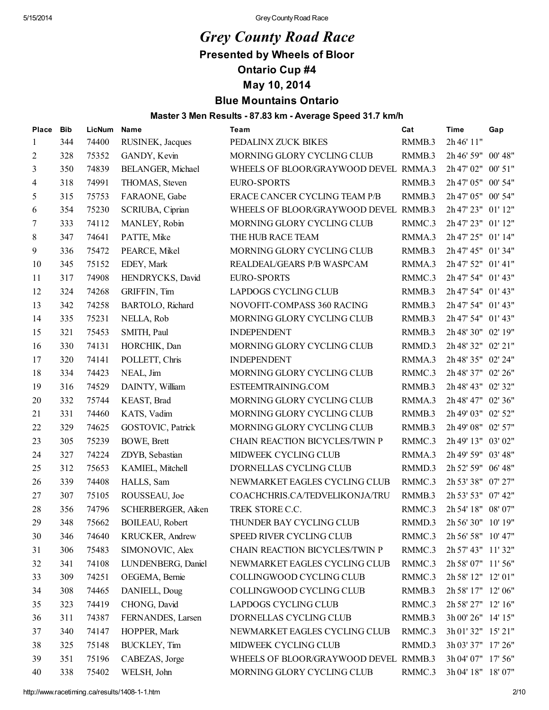# *Grey County Road Race*

Presented by Wheels of Bloor

Ontario Cup #4

May 10, 2014

## Blue Mountains Ontario

### Master 3 Men Results - 87.83 km - Average Speed 31.7 km/h

| Place | <b>Bib</b> | LicNum | <b>Name</b>        | Team                                  | Cat    | <b>Time</b>        | Gap |
|-------|------------|--------|--------------------|---------------------------------------|--------|--------------------|-----|
| 1     | 344        | 74400  | RUSINEK, Jacques   | PEDALINX ZUCK BIKES                   | RMMB.3 | 2h 46' 11"         |     |
| 2     | 328        | 75352  | GANDY, Kevin       | MORNING GLORY CYCLING CLUB            | RMMB.3 | 2h 46' 59" 00' 48" |     |
| 3     | 350        | 74839  | BELANGER, Michael  | WHEELS OF BLOOR/GRAYWOOD DEVEL RMMA.3 |        | 2h 47' 02" 00' 51" |     |
| 4     | 318        | 74991  | THOMAS, Steven     | <b>EURO-SPORTS</b>                    | RMMB.3 | 2h 47' 05" 00' 54" |     |
| 5     | 315        | 75753  | FARAONE, Gabe      | ERACE CANCER CYCLING TEAM P/B         | RMMB.3 | 2h 47' 05" 00' 54" |     |
| 6     | 354        | 75230  | SCRIUBA, Ciprian   | WHEELS OF BLOOR/GRAYWOOD DEVEL RMMB.3 |        | 2h 47' 23" 01' 12" |     |
| 7     | 333        | 74112  | MANLEY, Robin      | MORNING GLORY CYCLING CLUB            | RMMC.3 | 2h 47' 23" 01' 12" |     |
| 8     | 347        | 74641  | PATTE, Mike        | THE HUB RACE TEAM                     | RMMA.3 | 2h 47' 25" 01' 14" |     |
| 9     | 336        | 75472  | PEARCE, Mikel      | MORNING GLORY CYCLING CLUB            | RMMB.3 | 2h 47' 45" 01' 34" |     |
| 10    | 345        | 75152  | EDEY, Mark         | REALDEAL/GEARS P/B WASPCAM            | RMMA.3 | 2h 47' 52" 01' 41" |     |
| 11    | 317        | 74908  | HENDRYCKS, David   | <b>EURO-SPORTS</b>                    | RMMC.3 | 2h 47' 54" 01' 43" |     |
| 12    | 324        | 74268  | GRIFFIN, Tim       | LAPDOGS CYCLING CLUB                  | RMMB.3 | 2h 47' 54" 01' 43" |     |
| 13    | 342        | 74258  | BARTOLO, Richard   | NOVOFIT-COMPASS 360 RACING            | RMMB.3 | 2h 47' 54" 01' 43" |     |
| 14    | 335        | 75231  | NELLA, Rob         | MORNING GLORY CYCLING CLUB            | RMMB.3 | 2h 47' 54" 01' 43" |     |
| 15    | 321        | 75453  | SMITH, Paul        | <b>INDEPENDENT</b>                    | RMMB.3 | 2h 48' 30" 02' 19" |     |
| 16    | 330        | 74131  | HORCHIK, Dan       | MORNING GLORY CYCLING CLUB            | RMMD.3 | 2h 48' 32" 02' 21" |     |
| 17    | 320        | 74141  | POLLETT, Chris     | <b>INDEPENDENT</b>                    | RMMA.3 | 2h 48' 35" 02' 24" |     |
| 18    | 334        | 74423  | NEAL, Jim          | MORNING GLORY CYCLING CLUB            | RMMC.3 | 2h 48' 37" 02' 26" |     |
| 19    | 316        | 74529  | DAINTY, William    | ESTEEMTRAINING.COM                    | RMMB.3 | 2h 48' 43" 02' 32" |     |
| 20    | 332        | 75744  | KEAST, Brad        | MORNING GLORY CYCLING CLUB            | RMMA.3 | 2h 48' 47" 02' 36" |     |
| 21    | 331        | 74460  | KATS, Vadim        | MORNING GLORY CYCLING CLUB            | RMMB.3 | 2h 49' 03" 02' 52" |     |
| 22    | 329        | 74625  | GOSTOVIC, Patrick  | MORNING GLORY CYCLING CLUB            | RMMB.3 | 2h 49' 08" 02' 57" |     |
| 23    | 305        | 75239  | <b>BOWE, Brett</b> | CHAIN REACTION BICYCLES/TWIN P        | RMMC.3 | 2h 49' 13" 03' 02" |     |
| 24    | 327        | 74224  | ZDYB, Sebastian    | MIDWEEK CYCLING CLUB                  | RMMA.3 | 2h 49' 59" 03' 48" |     |
| 25    | 312        | 75653  | KAMIEL, Mitchell   | D'ORNELLAS CYCLING CLUB               | RMMD.3 | 2h 52' 59" 06' 48" |     |
| 26    | 339        | 74408  | HALLS, Sam         | NEWMARKET EAGLES CYCLING CLUB         | RMMC.3 | 2h 53' 38" 07' 27" |     |
| 27    | 307        | 75105  | ROUSSEAU, Joe      | COACHCHRIS.CA/TEDVELIKONJA/TRU        | RMMB.3 | 2h 53' 53" 07' 42" |     |
| 28    | 356        | 74796  | SCHERBERGER, Aiken | TREK STORE C.C.                       | RMMC.3 | 2h 54' 18" 08' 07" |     |
| 29    | 348        | 75662  | BOILEAU, Robert    | THUNDER BAY CYCLING CLUB              | RMMD.3 | 2h 56' 30" 10' 19" |     |
| 30    | 346        | 74640  | KRUCKER, Andrew    | SPEED RIVER CYCLING CLUB              | RMMC.3 | 2h 56' 58" 10' 47" |     |
| 31    | 306        | 75483  | SIMONOVIC, Alex    | CHAIN REACTION BICYCLES/TWIN P        | RMMC.3 | 2h 57' 43" 11' 32" |     |
| 32    | 341        | 74108  | LUNDENBERG, Daniel | NEWMARKET EAGLES CYCLING CLUB         | RMMC.3 | 2h 58' 07" 11' 56" |     |
| 33    | 309        | 74251  | OEGEMA, Bernie     | COLLINGWOOD CYCLING CLUB              | RMMC.3 | 2h 58' 12" 12' 01" |     |
| 34    | 308        | 74465  | DANIELL, Doug      | COLLINGWOOD CYCLING CLUB              | RMMB.3 | 2h 58' 17" 12' 06" |     |
| 35    | 323        | 74419  | CHONG, David       | LAPDOGS CYCLING CLUB                  | RMMC.3 | 2h 58' 27" 12' 16" |     |
| 36    | 311        | 74387  | FERNANDES, Larsen  | D'ORNELLAS CYCLING CLUB               | RMMB.3 | 3h 00' 26" 14' 15" |     |
| 37    | 340        | 74147  | HOPPER, Mark       | NEWMARKET EAGLES CYCLING CLUB         | RMMC.3 | 3h 01' 32" 15' 21" |     |
| 38    | 325        | 75148  | BUCKLEY, Tim       | MIDWEEK CYCLING CLUB                  | RMMD.3 | 3h 03' 37" 17' 26" |     |
| 39    | 351        | 75196  | CABEZAS, Jorge     | WHEELS OF BLOOR/GRAYWOOD DEVEL RMMB.3 |        | 3h 04' 07" 17' 56" |     |
| 40    | 338        | 75402  | WELSH, John        | MORNING GLORY CYCLING CLUB            | RMMC.3 | 3h 04' 18" 18' 07" |     |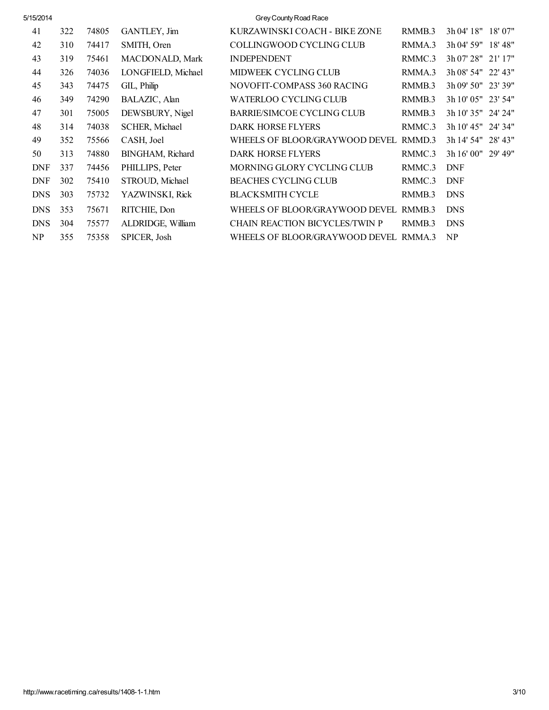| 5/15/2014  |     |       |                       | Grey County Road Race                 |        |                    |         |
|------------|-----|-------|-----------------------|---------------------------------------|--------|--------------------|---------|
| 41         | 322 | 74805 | GANTLEY, Jim          | KURZAWINSKI COACH - BIKE ZONE         | RMMB.3 | 3h 04' 18" 18' 07" |         |
| 42         | 310 | 74417 | SMITH, Oren           | COLLINGWOOD CYCLING CLUB              | RMMA.3 | 3h 04' 59" 18' 48" |         |
| 43         | 319 | 75461 | MACDONALD, Mark       | <b>INDEPENDENT</b>                    | RMMC.3 | 3h 07' 28" 21' 17" |         |
| 44         | 326 | 74036 | LONGFIELD, Michael    | MIDWEEK CYCLING CLUB                  | RMMA.3 | 3h 08' 54" 22' 43" |         |
| 45         | 343 | 74475 | GIL, Philip           | NOVOFIT-COMPASS 360 RACING            | RMMB.3 | 3h 09' 50" 23' 39" |         |
| 46         | 349 | 74290 | BALAZIC, Alan         | WATERLOO CYCLING CLUB                 | RMMB.3 | 3h 10' 05" 23' 54" |         |
| 47         | 301 | 75005 | DEWSBURY, Nigel       | BARRIE/SIMCOE CYCLING CLUB            | RMMB.3 | 3h 10' 35" 24' 24" |         |
| 48         | 314 | 74038 | <b>SCHER, Michael</b> | <b>DARK HORSE FLYERS</b>              | RMMC.3 | 3h 10' 45" 24' 34" |         |
| 49         | 352 | 75566 | CASH, Joel            | WHEELS OF BLOOR/GRAYWOOD DEVEL RMMD.3 |        | 3h 14' 54"         | 28' 43" |
| 50         | 313 | 74880 | BINGHAM, Richard      | <b>DARK HORSE FLYERS</b>              | RMMC.3 | 3h 16' 00" 29' 49" |         |
| <b>DNF</b> | 337 | 74456 | PHILLIPS, Peter       | MORNING GLORY CYCLING CLUB            | RMMC.3 | <b>DNF</b>         |         |
| <b>DNF</b> | 302 | 75410 | STROUD, Michael       | <b>BEACHES CYCLING CLUB</b>           | RMMC.3 | <b>DNF</b>         |         |
| <b>DNS</b> | 303 | 75732 | YAZWINSKI, Rick       | <b>BLACKSMITH CYCLE</b>               | RMMB.3 | <b>DNS</b>         |         |
| <b>DNS</b> | 353 | 75671 | RITCHIE, Don          | WHEELS OF BLOOR/GRAYWOOD DEVEL RMMB.3 |        | <b>DNS</b>         |         |
| <b>DNS</b> | 304 | 75577 | ALDRIDGE, William     | <b>CHAIN REACTION BICYCLES/TWIN P</b> | RMMB.3 | <b>DNS</b>         |         |
| NP         | 355 | 75358 | SPICER, Josh          | WHEELS OF BLOOR/GRAYWOOD DEVEL RMMA.3 |        | NP                 |         |
|            |     |       |                       |                                       |        |                    |         |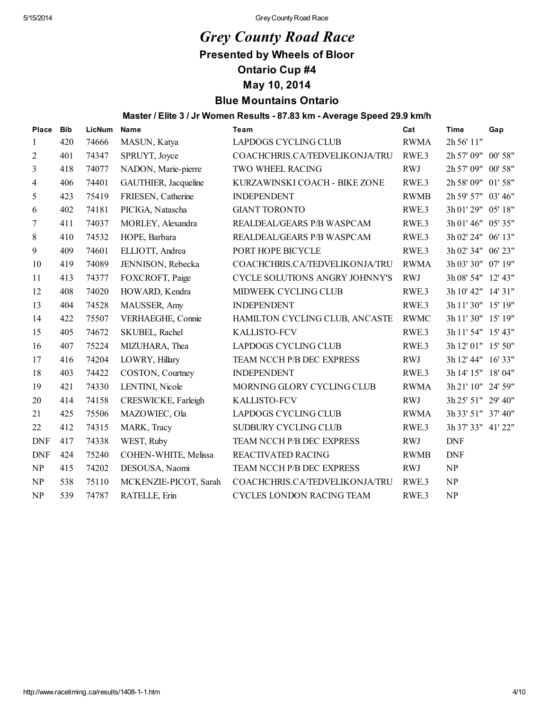# *Grey County Road Race*

Presented by Wheels of Bloor

Ontario Cup #4

May 10, 2014

# Blue Mountains Ontario

Master / Elite 3 / Jr Women Results - 87.83 km - Average Speed 29.9 km/h

| <b>Place</b>   | <b>Bib</b> | LicNum | <b>Name</b>           | Team                           | Cat              | <b>Time</b>        | Gap     |
|----------------|------------|--------|-----------------------|--------------------------------|------------------|--------------------|---------|
| 1              | 420        | 74666  | MASUN, Katya          | LAPDOGS CYCLING CLUB           | <b>RWMA</b>      | 2h 56' 11"         |         |
| $\overline{c}$ | 401        | 74347  | SPRUYT, Joyce         | COACHCHRIS.CA/TEDVELIKONJA/TRU | RWE <sub>3</sub> | 2h 57' 09" 00' 58" |         |
| 3              | 418        | 74077  | NADON, Marie-pierre   | TWO WHEEL RACING               | <b>RWJ</b>       | 2h 57' 09"         | 00' 58" |
| 4              | 406        | 74401  | GAUTHIER, Jacqueline  | KURZAWINSKI COACH - BIKE ZONE  | RWE <sub>3</sub> | 2h 58' 09" 01' 58" |         |
| 5              | 423        | 75419  | FRIESEN, Catherine    | <b>INDEPENDENT</b>             | <b>RWMB</b>      | 2h 59' 57" 03' 46" |         |
| 6              | 402        | 74181  | PICIGA, Natascha      | <b>GIANT TORONTO</b>           | RWE <sub>3</sub> | 3h 01' 29" 05' 18" |         |
| 7              | 411        | 74037  | MORLEY, Alexandra     | REALDEAL/GEARS P/B WASPCAM     | RWE <sub>3</sub> | 3h 01' 46" 05' 35" |         |
| 8              | 410        | 74532  | HOPE, Barbara         | REALDEAL/GEARS P/B WASPCAM     | RWE <sub>3</sub> | 3h 02' 24" 06' 13" |         |
| 9              | 409        | 74601  | ELLIOTT, Andrea       | PORT HOPE BICYCLE              | RWE <sub>3</sub> | 3h 02' 34" 06' 23" |         |
| 10             | 419        | 74089  | JENNISON, Rebecka     | COACHCHRIS.CA/TEDVELIKONJA/TRU | <b>RWMA</b>      | 3h 03' 30" 07' 19" |         |
| 11             | 413        | 74377  | FOXCROFT, Paige       | CYCLE SOLUTIONS ANGRY JOHNNY'S | <b>RWJ</b>       | 3h 08' 54" 12' 43" |         |
| 12             | 408        | 74020  | HOWARD, Kendra        | MIDWEEK CYCLING CLUB           | RWE <sub>3</sub> | 3h 10' 42" 14' 31" |         |
| 13             | 404        | 74528  | MAUSSER, Amy          | <b>INDEPENDENT</b>             | RWE <sub>3</sub> | 3h 11' 30" 15' 19" |         |
| 14             | 422        | 75507  | VERHAEGHE, Connie     | HAMILTON CYCLING CLUB, ANCASTE | <b>RWMC</b>      | 3h 11' 30" 15' 19" |         |
| 15             | 405        | 74672  | SKUBEL, Rachel        | <b>KALLISTO-FCV</b>            | RWE <sub>3</sub> | 3h 11' 54" 15' 43" |         |
| 16             | 407        | 75224  | MIZUHARA, Thea        | LAPDOGS CYCLING CLUB           | RWE <sub>3</sub> | 3h 12' 01" 15' 50" |         |
| 17             | 416        | 74204  | LOWRY, Hillary        | TEAM NCCH P/B DEC EXPRESS      | <b>RWJ</b>       | 3h 12' 44" 16' 33" |         |
| 18             | 403        | 74422  | COSTON, Courtney      | <b>INDEPENDENT</b>             | RWE <sub>3</sub> | 3h 14' 15" 18' 04" |         |
| 19             | 421        | 74330  | LENTINI, Nicole       | MORNING GLORY CYCLING CLUB     | <b>RWMA</b>      | 3h 21' 10" 24' 59" |         |
| 20             | 414        | 74158  | CRESWICKE, Farleigh   | <b>KALLISTO-FCV</b>            | <b>RWJ</b>       | 3h 25' 51" 29' 40" |         |
| 21             | 425        | 75506  | MAZOWIEC, Ola         | <b>LAPDOGS CYCLING CLUB</b>    | <b>RWMA</b>      | 3h 33' 51" 37' 40" |         |
| 22             | 412        | 74315  | MARK, Tracy           | SUDBURY CYCLING CLUB           | RWE <sub>3</sub> | 3h 37' 33" 41' 22" |         |
| <b>DNF</b>     | 417        | 74338  | WEST, Ruby            | TEAM NCCH P/B DEC EXPRESS      | <b>RWJ</b>       | <b>DNF</b>         |         |
| <b>DNF</b>     | 424        | 75240  | COHEN-WHITE, Melissa  | <b>REACTIVATED RACING</b>      | <b>RWMB</b>      | <b>DNF</b>         |         |
| NP             | 415        | 74202  | DESOUSA, Naomi        | TEAM NCCH P/B DEC EXPRESS      | <b>RWJ</b>       | NP                 |         |
| NP             | 538        | 75110  | MCKENZIE-PICOT, Sarah | COACHCHRIS.CA/TEDVELIKONJA/TRU | RWE <sub>3</sub> | <b>NP</b>          |         |
| NP             | 539        | 74787  | RATELLE, Erin         | CYCLES LONDON RACING TEAM      | RWE <sub>3</sub> | NP                 |         |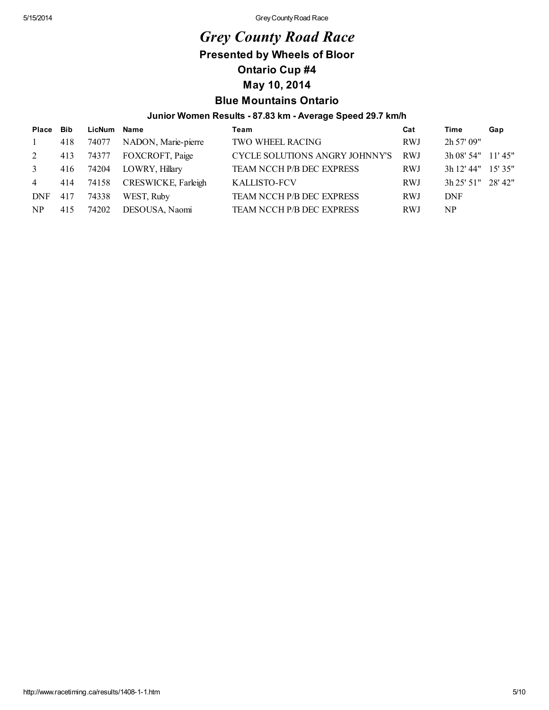# *Grey County Road Race*

## Presented by Wheels of Bloor

Ontario Cup #4

## May 10, 2014

### Blue Mountains Ontario

### Junior Women Results - 87.83 km - Average Speed 29.7 km/h

| Place Bib      |     | LicNum Name |                     | Team                           | Cat        | Time               | Gap |
|----------------|-----|-------------|---------------------|--------------------------------|------------|--------------------|-----|
| $\mathbf{1}$   | 418 | 74077       | NADON, Marie-pierre | <b>TWO WHEEL RACING</b>        | <b>RWJ</b> | 2h 57' 09"         |     |
| 2              | 413 | 74377       | FOXCROFT, Paige     | CYCLE SOLUTIONS ANGRY JOHNNY'S | RWJ        | 3h 08' 54" 11' 45" |     |
| $\mathbf{3}$   | 416 | 74204       | LOWRY, Hillary      | TEAM NCCH P/B DEC EXPRESS      | <b>RWJ</b> | 3h 12' 44" 15' 35" |     |
| $\overline{4}$ | 414 | 74158       | CRESWICKE, Farleigh | <b>KALLISTO-FCV</b>            | RWJ        | 3h 25' 51" 28' 42" |     |
| DNF            | 417 | 74338       | WEST, Ruby          | TEAM NCCH P/B DEC EXPRESS      | RWJ        | <b>DNF</b>         |     |
| NP.            | 415 | 74202       | DESOUSA, Naomi      | TEAM NCCH P/B DEC EXPRESS      | RWJ        | NP                 |     |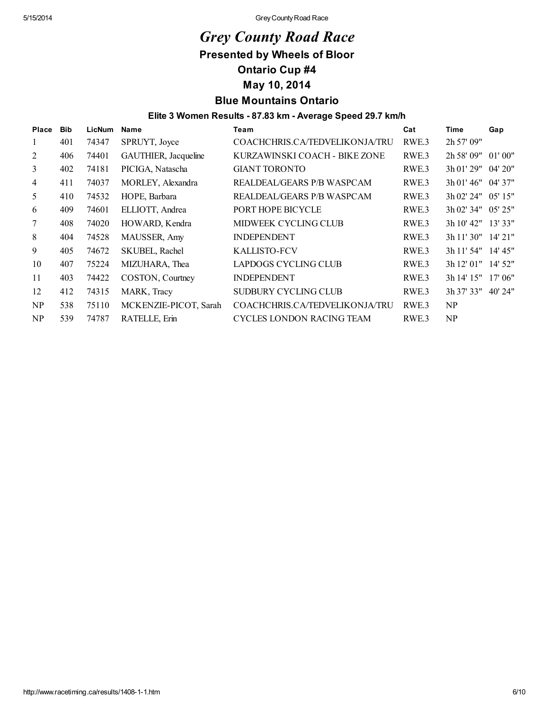# *Grey County Road Race*

Presented by Wheels of Bloor

Ontario Cup #4

May 10, 2014

## Blue Mountains Ontario

### Elite 3 Women Results - 87.83 km - Average Speed 29.7 km/h

| <b>Place</b> | <b>Bib</b> | <b>LicNum</b> | Name                  | Team                             | Cat              | <b>Time</b>        | Gap       |
|--------------|------------|---------------|-----------------------|----------------------------------|------------------|--------------------|-----------|
| 1            | 401        | 74347         | SPRUYT, Joyce         | COACHCHRIS.CA/TEDVELIKONJA/TRU   | RWE <sub>3</sub> | 2h 57' 09"         |           |
| 2            | 406        | 74401         | GAUTHIER, Jacqueline  | KURZAWINSKI COACH - BIKE ZONE    | RWE <sub>3</sub> | 2h 58' 09" 01' 00" |           |
| 3            | 402        | 74181         | PICIGA, Natascha      | <b>GIANT TORONTO</b>             | RWE <sub>3</sub> | 3h 01' 29" 04' 20" |           |
| 4            | 411        | 74037         | MORLEY, Alexandra     | REALDEAL/GEARS P/B WASPCAM       | RWE <sub>3</sub> | 3h 01' 46" 04' 37" |           |
| 5            | 410        | 74532         | HOPE, Barbara         | REALDEAL/GEARS P/B WASPCAM       | RWE <sub>3</sub> | 3h 02' 24" 05' 15" |           |
| 6            | 409        | 74601         | ELLIOTT, Andrea       | PORT HOPE BICYCLE                | RWE <sub>3</sub> | 3h 02' 34" 05' 25" |           |
| 7            | 408        | 74020         | HOWARD, Kendra        | <b>MIDWEEK CYCLING CLUB</b>      | RWE <sub>3</sub> | 3h 10' 42" 13' 33" |           |
| 8            | 404        | 74528         | MAUSSER, Amy          | <b>INDEPENDENT</b>               | RWE <sub>3</sub> | 3h 11' 30" 14' 21" |           |
| 9            | 405        | 74672         | SKUBEL, Rachel        | <b>KALLISTO-FCV</b>              | RWE <sub>3</sub> | 3h 11' 54" 14' 45" |           |
| 10           | 407        | 75224         | MIZUHARA, Thea        | LAPDOGS CYCLING CLUB             | RWE <sub>3</sub> | 3h 12' 01"         | 14' 52"   |
| 11           | 403        | 74422         | COSTON, Courtney      | <b>INDEPENDENT</b>               | RWE.3            | 3h 14' 15" 17' 06" |           |
| 12           | 412        | 74315         | MARK, Tracy           | SUDBURY CYCLING CLUB             | RWE <sub>3</sub> | 3h 37' 33"         | $40'$ 24" |
| NP           | 538        | 75110         | MCKENZIE-PICOT, Sarah | COACHCHRIS.CA/TEDVELIKONJA/TRU   | RWE <sub>3</sub> | NP                 |           |
| NP           | 539        | 74787         | RATELLE, Erin         | <b>CYCLES LONDON RACING TEAM</b> | RWE <sub>3</sub> | NP                 |           |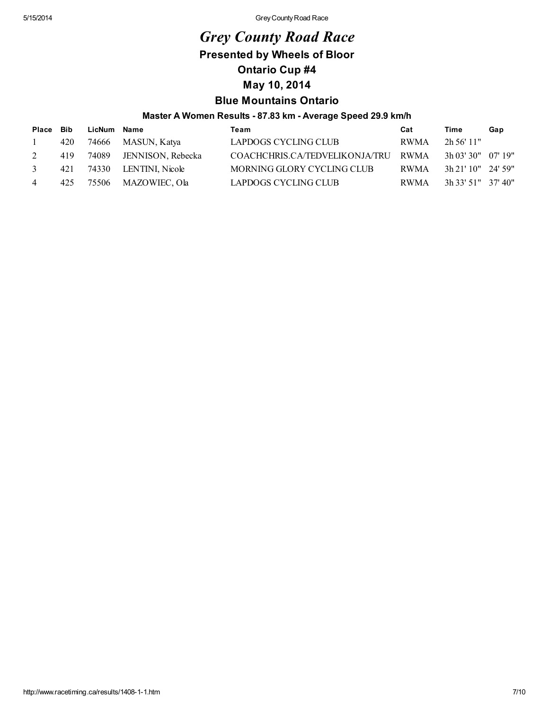# *Grey County Road Race*

Presented by Wheels of Bloor

Ontario Cup #4

## May 10, 2014

## Blue Mountains Ontario

### Master A Women Results - 87.83 km - Average Speed 29.9 km/h

| Place Bib |     | LicNum Name |                         | Team                                | Cat  | Time                 | Gap |
|-----------|-----|-------------|-------------------------|-------------------------------------|------|----------------------|-----|
|           | 420 | 74666       | MASUN, Katya            | LAPDOGS CYCLING CLUB                | RWMA | $2h\,56'$ 11"        |     |
| 2         | 419 |             | 74089 JENNISON, Rebecka | COACHCHRIS.CA/TEDVELIKONJA/TRU RWMA |      | 3h 03' 30" 07' 19"   |     |
| 3         | 421 |             | 74330 LENTINI, Nicole   | MORNING GLORY CYCLING CLUB          | RWMA | $3h$ 21' 10" 24' 59" |     |
| 4         | 425 |             | 75506 MAZOWIEC, Ola     | LAPDOGS CYCLING CLUB                | RWMA | 3h 33' 51" 37' 40"   |     |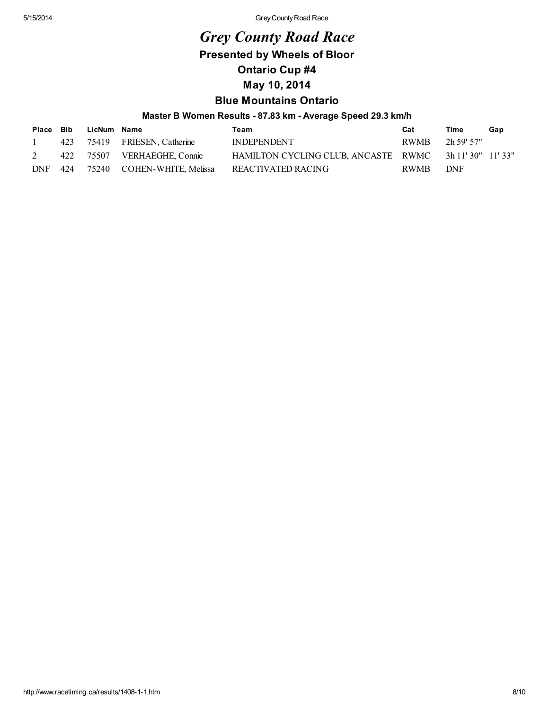# *Grey County Road Race*

Presented by Wheels of Bloor

Ontario Cup #4

May 10, 2014

# Blue Mountains Ontario

### Master B Women Results - 87.83 km - Average Speed 29.3 km/h

|     |     | Place Bib LicNum Name |                              | Team                                                 | Cat             | Time | Gap |
|-----|-----|-----------------------|------------------------------|------------------------------------------------------|-----------------|------|-----|
|     |     |                       | 423 75419 FRIESEN, Catherine | INDEPENDENT                                          | RWMB 2h 59' 57" |      |     |
|     |     |                       | 422 75507 VERHAEGHE, Connie  | HAMILTON CYCLING CLUB, ANCASTE RWMC 3h 11'30" 11'33" |                 |      |     |
| DNF | 424 |                       | 75240 COHEN-WHITE, Melissa   | REACTIVATED RACING                                   | RWMB            | DNF  |     |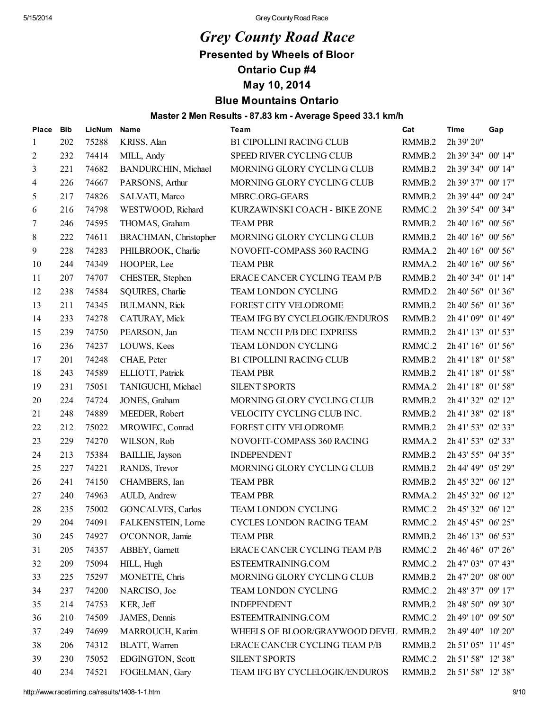# *Grey County Road Race*

Presented by Wheels of Bloor

Ontario Cup #4

May 10, 2014

# Blue Mountains Ontario

### Master 2 Men Results - 87.83 km - Average Speed 33.1 km/h

| Place | <b>Bib</b> | LicNum | Name                    | Team                                  | Cat    | <b>Time</b>        | Gap |
|-------|------------|--------|-------------------------|---------------------------------------|--------|--------------------|-----|
| 1     | 202        | 75288  | KRISS, Alan             | <b>B1 CIPOLLINI RACING CLUB</b>       | RMMB.2 | 2h 39' 20"         |     |
| 2     | 232        | 74414  | MILL, Andy              | SPEED RIVER CYCLING CLUB              | RMMB.2 | 2h 39' 34" 00' 14" |     |
| 3     | 221        | 74682  | BANDURCHIN, Michael     | MORNING GLORY CYCLING CLUB            | RMMB.2 | 2h 39' 34" 00' 14" |     |
| 4     | 226        | 74667  | PARSONS, Arthur         | MORNING GLORY CYCLING CLUB            | RMMB.2 | 2h 39' 37" 00' 17" |     |
| 5     | 217        | 74826  | SALVATI, Marco          | MBRC.ORG-GEARS                        | RMMB.2 | 2h 39' 44" 00' 24" |     |
| 6     | 216        | 74798  | WESTWOOD, Richard       | KURZAWINSKI COACH - BIKE ZONE         | RMMC.2 | 2h 39' 54" 00' 34" |     |
| 7     | 246        | 74595  | THOMAS, Graham          | <b>TEAM PBR</b>                       | RMMB.2 | 2h 40' 16" 00' 56" |     |
| 8     | 222        | 74611  | BRACHMAN, Christopher   | MORNING GLORY CYCLING CLUB            | RMMB.2 | 2h 40' 16" 00' 56" |     |
| 9     | 228        | 74283  | PHILBROOK, Charlie      | NOVOFIT-COMPASS 360 RACING            | RMMA.2 | 2h 40' 16" 00' 56" |     |
| 10    | 244        | 74349  | HOOPER, Lee             | <b>TEAM PBR</b>                       | RMMA.2 | 2h 40' 16" 00' 56" |     |
| 11    | 207        | 74707  | CHESTER, Stephen        | ERACE CANCER CYCLING TEAM P/B         | RMMB.2 | 2h 40' 34" 01' 14" |     |
| 12    | 238        | 74584  | SQUIRES, Charlie        | TEAM LONDON CYCLING                   | RMMD.2 | 2h 40' 56" 01' 36" |     |
| 13    | 211        | 74345  | <b>BULMANN, Rick</b>    | FOREST CITY VELODROME                 | RMMB.2 | 2h 40' 56" 01' 36" |     |
| 14    | 233        | 74278  | CATURAY, Mick           | TEAM IFG BY CYCLELOGIK/ENDUROS        | RMMB.2 | 2h 41' 09" 01' 49" |     |
| 15    | 239        | 74750  | PEARSON, Jan            | TEAM NCCH P/B DEC EXPRESS             | RMMB.2 | 2h 41' 13" 01' 53" |     |
| 16    | 236        | 74237  | LOUWS, Kees             | TEAM LONDON CYCLING                   | RMMC.2 | 2h 41' 16" 01' 56" |     |
| 17    | 201        | 74248  | CHAE, Peter             | <b>B1 CIPOLLINI RACING CLUB</b>       | RMMB.2 | 2h 41' 18" 01' 58" |     |
| 18    | 243        | 74589  | ELLIOTT, Patrick        | <b>TEAM PBR</b>                       | RMMB.2 | 2h 41' 18" 01' 58" |     |
| 19    | 231        | 75051  | TANIGUCHI, Michael      | <b>SILENT SPORTS</b>                  | RMMA.2 | 2h 41' 18" 01' 58" |     |
| 20    | 224        | 74724  | JONES, Graham           | MORNING GLORY CYCLING CLUB            | RMMB.2 | 2h 41' 32" 02' 12" |     |
| 21    | 248        | 74889  | MEEDER, Robert          | VELOCITY CYCLING CLUB INC.            | RMMB.2 | 2h 41' 38" 02' 18" |     |
| 22    | 212        | 75022  | MROWIEC, Conrad         | FOREST CITY VELODROME                 | RMMB.2 | 2h 41' 53" 02' 33" |     |
| 23    | 229        | 74270  | WILSON, Rob             | NOVOFIT-COMPASS 360 RACING            | RMMA.2 | 2h 41' 53" 02' 33" |     |
| 24    | 213        | 75384  | <b>BAILLIE</b> , Jayson | <b>INDEPENDENT</b>                    | RMMB.2 | 2h 43' 55" 04' 35" |     |
| 25    | 227        | 74221  | RANDS, Trevor           | MORNING GLORY CYCLING CLUB            | RMMB.2 | 2h 44' 49" 05' 29" |     |
| 26    | 241        | 74150  | CHAMBERS, Ian           | <b>TEAM PBR</b>                       | RMMB.2 | 2h 45' 32" 06' 12" |     |
| 27    | 240        | 74963  | AULD, Andrew            | <b>TEAM PBR</b>                       | RMMA.2 | 2h 45' 32" 06' 12" |     |
| 28    | 235        | 75002  | GONCALVES, Carlos       | TEAM LONDON CYCLING                   | RMMC.2 | 2h 45' 32" 06' 12" |     |
| 29    | 204        | 74091  | FALKENSTEIN, Lorne      | CYCLES LONDON RACING TEAM             | RMMC.2 | 2h 45' 45" 06' 25" |     |
| 30    | 245        | 74927  | O'CONNOR, Jamie         | <b>TEAM PBR</b>                       | RMMB.2 | 2h 46' 13" 06' 53" |     |
| 31    | 205        | 74357  | ABBEY, Garnett          | ERACE CANCER CYCLING TEAM P/B         | RMMC.2 | 2h 46' 46" 07' 26" |     |
| 32    | 209        | 75094  | HILL, Hugh              | ESTEEMTRAINING.COM                    | RMMC.2 | 2h 47' 03" 07' 43" |     |
| 33    | 225        | 75297  | MONETTE, Chris          | MORNING GLORY CYCLING CLUB            | RMMB.2 | 2h 47' 20" 08' 00" |     |
| 34    | 237        | 74200  | NARCISO, Joe            | TEAM LONDON CYCLING                   | RMMC.2 | 2h 48' 37" 09' 17" |     |
| 35    | 214        | 74753  | KER, Jeff               | <b>INDEPENDENT</b>                    | RMMB.2 | 2h 48' 50" 09' 30" |     |
| 36    | 210        | 74509  | JAMES, Dennis           | ESTEEMTRAINING.COM                    | RMMC.2 | 2h 49' 10" 09' 50" |     |
| 37    | 249        | 74699  | MARROUCH, Karim         | WHEELS OF BLOOR/GRAYWOOD DEVEL RMMB.2 |        | 2h 49' 40" 10' 20" |     |
| 38    | 206        | 74312  | BLATT, Warren           | ERACE CANCER CYCLING TEAM P/B         | RMMB.2 | 2h 51' 05" 11' 45" |     |
| 39    | 230        | 75052  | EDGINGTON, Scott        | <b>SILENT SPORTS</b>                  | RMMC.2 | 2h 51' 58" 12' 38" |     |
| 40    | 234        | 74521  | FOGELMAN, Gary          | TEAM IFG BY CYCLELOGIK/ENDUROS        | RMMB.2 | 2h 51' 58" 12' 38" |     |